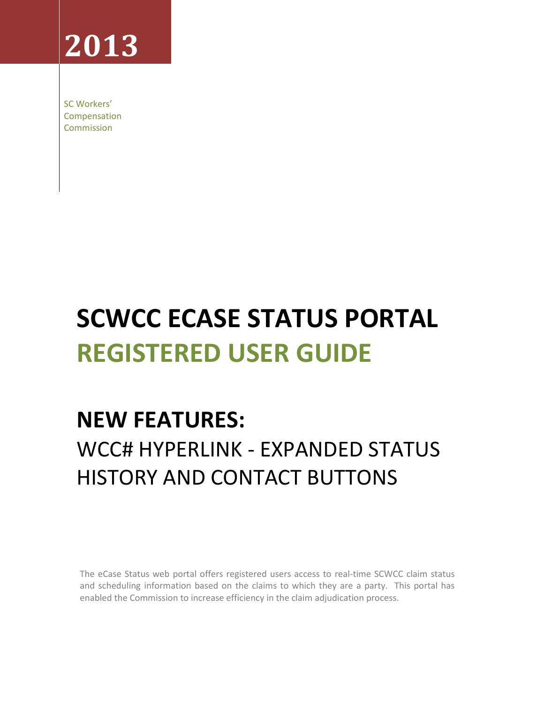# **2013**

SC Workers' Compensation Commission

# **SCWCC ECASE STATUS PORTAL REGISTERED USER GUIDE**

# **NEW FEATURES:** WCC# HYPERLINK - EXPANDED STATUS HISTORY AND CONTACT BUTTONS

The eCase Status web portal offers registered users access to real-time SCWCC claim status and scheduling information based on the claims to which they are a party. This portal has enabled the Commission to increase efficiency in the claim adjudication process.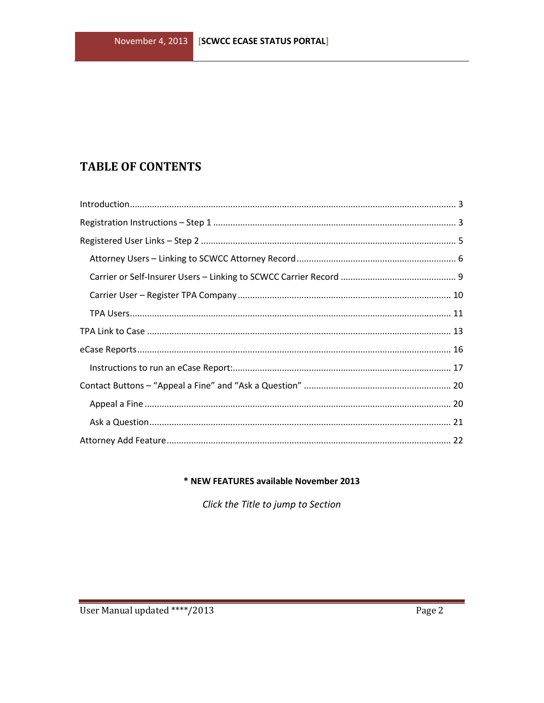## **TABLE OF CONTENTS**

#### \* NEW FEATURES available November 2013

Click the Title to jump to Section

 $\sim$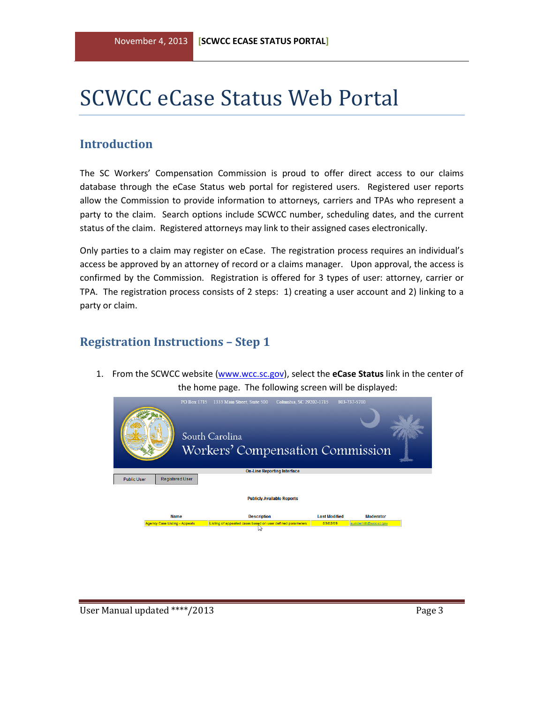# SCWCC eCase Status Web Portal

#### <span id="page-2-0"></span>**Introduction**

The SC Workers' Compensation Commission is proud to offer direct access to our claims database through the eCase Status web portal for registered users. Registered user reports allow the Commission to provide information to attorneys, carriers and TPAs who represent a party to the claim. Search options include SCWCC number, scheduling dates, and the current status of the claim. Registered attorneys may link to their assigned cases electronically.

Only parties to a claim may register on eCase. The registration process requires an individual's access be approved by an attorney of record or a claims manager. Upon approval, the access is confirmed by the Commission. Registration is offered for 3 types of user: attorney, carrier or TPA. The registration process consists of 2 steps: 1) creating a user account and 2) linking to a party or claim.

#### <span id="page-2-1"></span>**Registration Instructions – Step 1**

1. From the SCWCC website [\(www.wcc.sc.gov\)](http://www.wcc.sc.gov/), select the **eCase Status** link in the center of the home page. The following screen will be displayed:

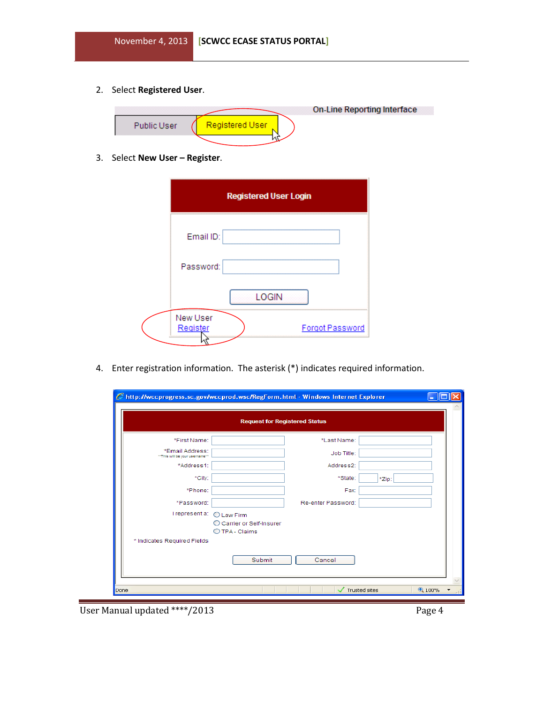2. Select **Registered User**.

|             |                 | On-Line Reporting Interface |
|-------------|-----------------|-----------------------------|
| Public User | Registered User |                             |
|             |                 |                             |

3. Select **New User – Register**.

| <b>Registered User Login</b> |       |                 |
|------------------------------|-------|-----------------|
| Email ID:                    |       |                 |
| Password:                    |       |                 |
|                              | LOGIN |                 |
| New User<br>Register         |       | Forgot Password |

4. Enter registration information. The asterisk (\*) indicates required information.

|                                                  | <b>Request for Registered Status</b>        |                    |       |  |
|--------------------------------------------------|---------------------------------------------|--------------------|-------|--|
| *First Name:                                     |                                             | *Last Name:        |       |  |
| *Email Address:<br>"This will be your username"" |                                             | Job Title:         |       |  |
| *Address1:                                       |                                             | Address2:          |       |  |
| *City:                                           |                                             | *State:            | *Zip: |  |
| *Phone:                                          |                                             | Fax:               |       |  |
| *Password:                                       |                                             | Re-enter Password: |       |  |
| I represent a: O Law Firm                        | C Carrier or Self-Insurer<br>O TPA - Claims |                    |       |  |
| * Indicates Required Fields                      |                                             |                    |       |  |
|                                                  | Submit                                      | Cancel             |       |  |

User Manual updated \*\*\*\*/2013 Page 4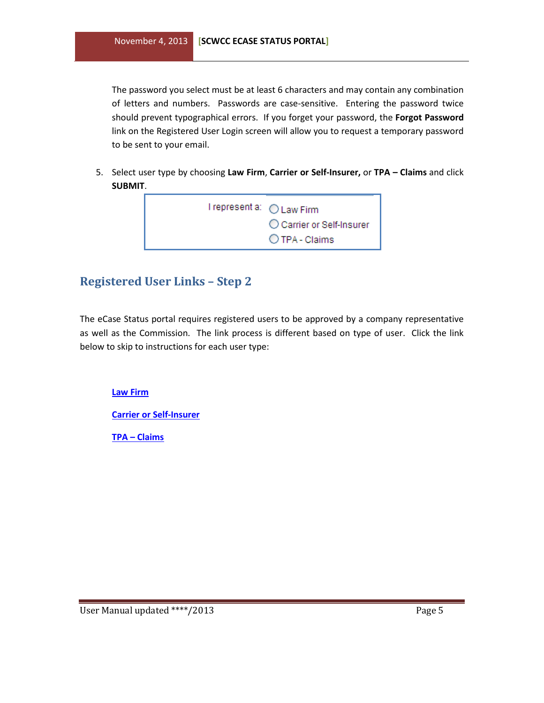The password you select must be at least 6 characters and may contain any combination of letters and numbers. Passwords are case-sensitive. Entering the password twice should prevent typographical errors. If you forget your password, the **Forgot Password** link on the Registered User Login screen will allow you to request a temporary password to be sent to your email.

5. Select user type by choosing **Law Firm**, **Carrier or Self-Insurer,** or **TPA – Claims** and click **SUBMIT**.



### <span id="page-4-0"></span>**Registered User Links – Step 2**

The eCase Status portal requires registered users to be approved by a company representative as well as the Commission. The link process is different based on type of user. Click the link below to skip to instructions for each user type:

**[Law Firm](#page-5-0)**

**[Carrier or Self-Insurer](#page-8-0)**

**TPA – [Claims](#page-10-0)**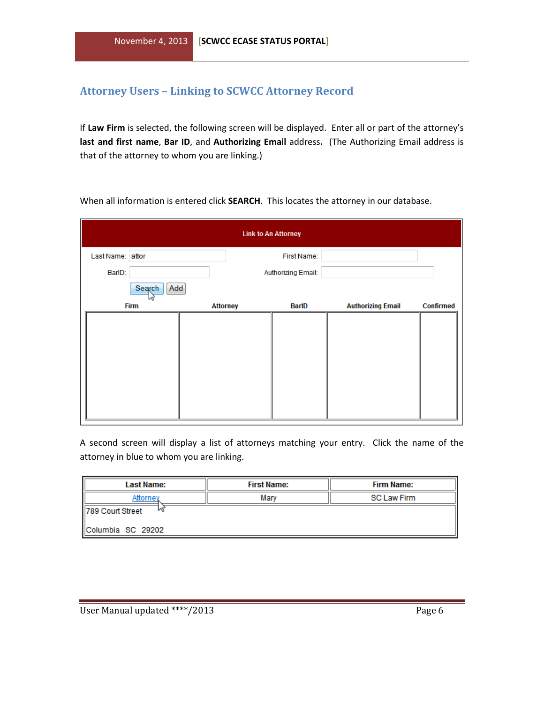#### <span id="page-5-0"></span>**Attorney Users – Linking to SCWCC Attorney Record**

If **Law Firm** is selected, the following screen will be displayed. Enter all or part of the attorney's **last and first name**, **Bar ID**, and **Authorizing Email** address**.** (The Authorizing Email address is that of the attorney to whom you are linking.)

When all information is entered click **SEARCH**. This locates the attorney in our database.

|                  |               |                 | <b>Link to An Attorney</b> |                          |                  |
|------------------|---------------|-----------------|----------------------------|--------------------------|------------------|
| Last Name: attor |               |                 | First Name:                |                          |                  |
| BarlD:           |               |                 | Authorizing Email:         |                          |                  |
|                  | Search<br>Add |                 |                            |                          |                  |
|                  | <b>Firm</b>   | <b>Attorney</b> | BarlD                      | <b>Authorizing Email</b> | <b>Confirmed</b> |
|                  |               |                 |                            |                          |                  |
|                  |               |                 |                            |                          |                  |
|                  |               |                 |                            |                          |                  |
|                  |               |                 |                            |                          |                  |
|                  |               |                 |                            |                          |                  |
|                  |               |                 |                            |                          |                  |
|                  |               |                 |                            |                          |                  |
|                  |               |                 |                            |                          |                  |

A second screen will display a list of attorneys matching your entry. Click the name of the attorney in blue to whom you are linking.

| <b>Last Name:</b>     | <b>First Name:</b> | Firm Name:         |  |  |  |
|-----------------------|--------------------|--------------------|--|--|--|
| Attornev              | Mary               | <b>SC Law Firm</b> |  |  |  |
| 789 Court Street<br>w |                    |                    |  |  |  |
| IlColumbia SC 29202   |                    |                    |  |  |  |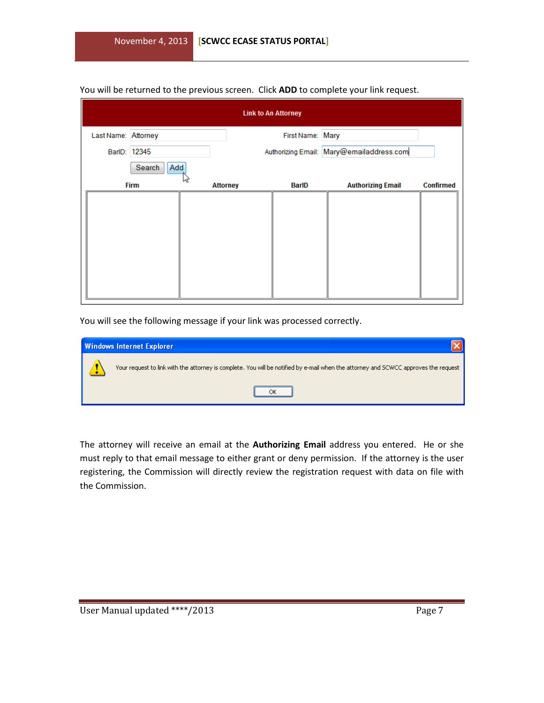#### You will be returned to the previous screen. Click **ADD** to complete your link request.

|                     |               |                 | <b>Link to An Attorney</b> |                                          |                  |
|---------------------|---------------|-----------------|----------------------------|------------------------------------------|------------------|
| Last Name: Attorney |               |                 | First Name: Mary           |                                          |                  |
|                     | BarlD: 12345  |                 |                            | Authorizing Email: Mary@emailaddress.com |                  |
|                     | Search<br>Add |                 |                            |                                          |                  |
|                     | <b>Firm</b>   | <b>Attorney</b> | BarlD                      | <b>Authorizing Email</b>                 | <b>Confirmed</b> |
|                     |               |                 |                            |                                          |                  |
|                     |               |                 |                            |                                          |                  |
|                     |               |                 |                            |                                          |                  |
|                     |               |                 |                            |                                          |                  |
|                     |               |                 |                            |                                          |                  |
|                     |               |                 |                            |                                          |                  |
|                     |               |                 |                            |                                          |                  |

You will see the following message if your link was processed correctly.

| <b>Windows Internet Explorer</b>                                                                                                    |
|-------------------------------------------------------------------------------------------------------------------------------------|
| Your request to link with the attorney is complete. You will be notified by e-mail when the attorney and SCWCC approves the request |
|                                                                                                                                     |

The attorney will receive an email at the **Authorizing Email** address you entered. He or she must reply to that email message to either grant or deny permission. If the attorney is the user registering, the Commission will directly review the registration request with data on file with the Commission.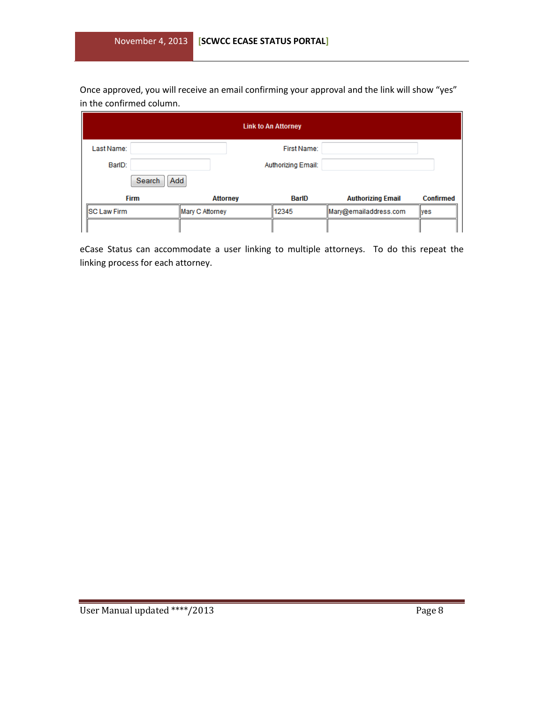Once approved, you will receive an email confirming your approval and the link will show "yes" in the confirmed column.

| <b>Link to An Attorney</b> |                 |                    |                          |                  |
|----------------------------|-----------------|--------------------|--------------------------|------------------|
| Last Name:                 |                 | First Name:        |                          |                  |
| BarlD:                     |                 | Authorizing Email: |                          |                  |
| Search                     | Add             |                    |                          |                  |
| <b>Firm</b>                | <b>Attorney</b> | BarlD              | <b>Authorizing Email</b> | <b>Confirmed</b> |
| <b>SC Law Firm</b>         | Mary C Attorney | 12345              | Mary@emailaddress.com    | <b>Ves</b>       |
|                            |                 |                    |                          |                  |

eCase Status can accommodate a user linking to multiple attorneys. To do this repeat the linking process for each attorney.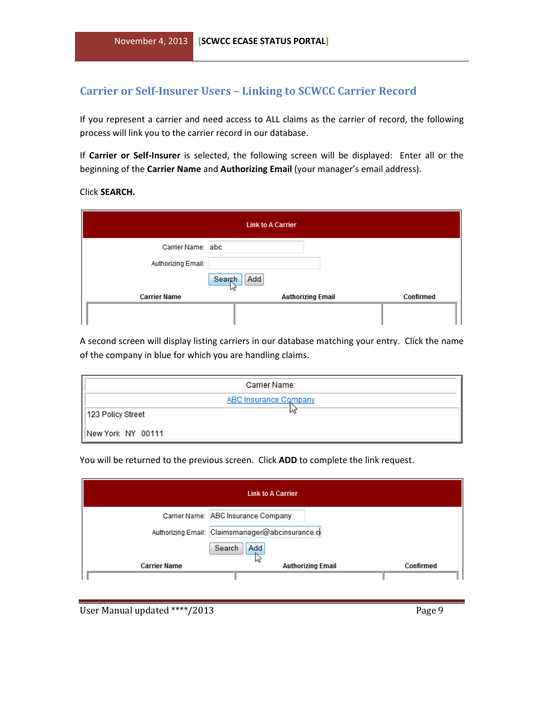#### <span id="page-8-0"></span>**Carrier or Self-Insurer Users – Linking to SCWCC Carrier Record**

If you represent a carrier and need access to ALL claims as the carrier of record, the following process will link you to the carrier record in our database.

If **Carrier or Self-Insurer** is selected, the following screen will be displayed: Enter all or the beginning of the **Carrier Name** and **Authorizing Email** (your manager's email address).

Click **SEARCH.**

| <b>Link to A Carrier</b> |                          |                  |  |  |
|--------------------------|--------------------------|------------------|--|--|
| Carrier Name: abc        |                          |                  |  |  |
| Authorizing Email:       |                          |                  |  |  |
|                          | Add<br>Search            |                  |  |  |
| <b>Carrier Name</b>      | <b>Authorizing Email</b> | <b>Confirmed</b> |  |  |
|                          |                          |                  |  |  |

A second screen will display listing carriers in our database matching your entry. Click the name of the company in blue for which you are handling claims.

|                   | Carrier Name:         |
|-------------------|-----------------------|
|                   | ABC Insurance Company |
| 123 Policy Street |                       |
| New York NY 00111 |                       |

You will be returned to the previous screen. Click **ADD** to complete the link request.

| <b>Link to A Carrier</b> |                                                 |                  |  |  |
|--------------------------|-------------------------------------------------|------------------|--|--|
|                          | Carrier Name: ABC Insurance Company             |                  |  |  |
|                          | Authorizing Email: Claimsmanager@abcinsurance.c |                  |  |  |
|                          | Add<br>Search                                   |                  |  |  |
| <b>Carrier Name</b>      | <b>Authorizing Email</b>                        | <b>Confirmed</b> |  |  |
|                          |                                                 |                  |  |  |

User Manual updated \*\*\*\*/2013 Page 9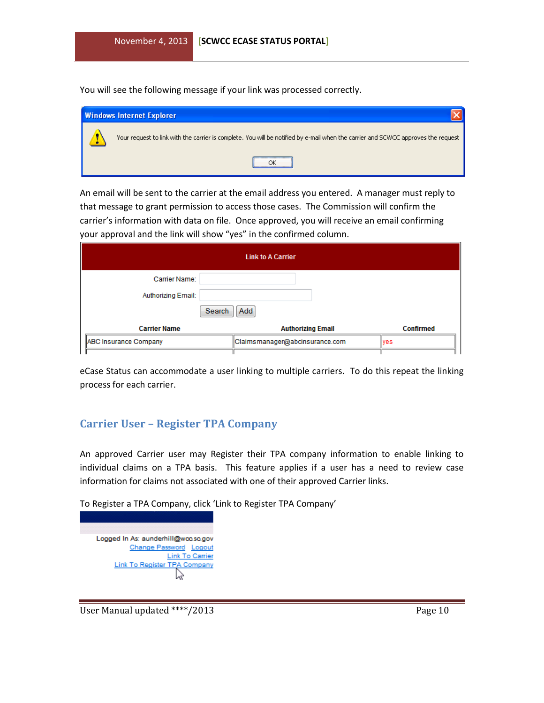You will see the following message if your link was processed correctly.

| <b>Windows Internet Explorer</b>                                                                                                  |  |  |  |  |  |  |
|-----------------------------------------------------------------------------------------------------------------------------------|--|--|--|--|--|--|
| Your request to link with the carrier is complete. You will be notified by e-mail when the carrier and SCWCC approves the request |  |  |  |  |  |  |
|                                                                                                                                   |  |  |  |  |  |  |

An email will be sent to the carrier at the email address you entered. A manager must reply to that message to grant permission to access those cases. The Commission will confirm the carrier's information with data on file. Once approved, you will receive an email confirming your approval and the link will show "yes" in the confirmed column.

| <b>Link to A Carrier</b> |                                |                  |  |  |
|--------------------------|--------------------------------|------------------|--|--|
| Carrier Name:            |                                |                  |  |  |
| Authorizing Email:       |                                |                  |  |  |
| Search                   | Add                            |                  |  |  |
| <b>Carrier Name</b>      | <b>Authorizing Email</b>       | <b>Confirmed</b> |  |  |
| ABC Insurance Company    | Claimsmanager@abcinsurance.com | <b>lves</b>      |  |  |
|                          |                                |                  |  |  |

eCase Status can accommodate a user linking to multiple carriers. To do this repeat the linking process for each carrier.

#### <span id="page-9-0"></span>**Carrier User – Register TPA Company**

An approved Carrier user may Register their TPA company information to enable linking to individual claims on a TPA basis. This feature applies if a user has a need to review case information for claims not associated with one of their approved Carrier links.

To Register a TPA Company, click 'Link to Register TPA Company'

| Logged In As: aunderhill@wcc.sc.gov |
|-------------------------------------|
| Change Password Logout              |
| <b>Link To Carrier</b>              |
| Link To Register TPA Company        |
|                                     |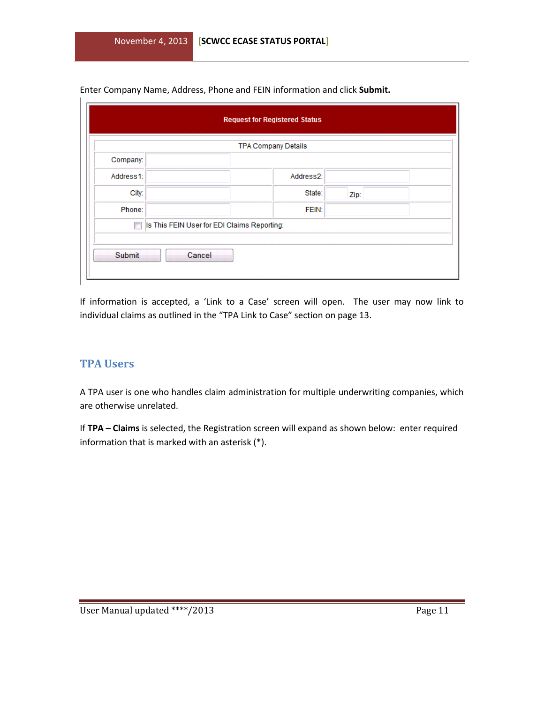Enter Company Name, Address, Phone and FEIN information and click **Submit.**

|                                                  | TPA Company Details |      |  |
|--------------------------------------------------|---------------------|------|--|
| Company:                                         |                     |      |  |
| Address1:                                        | Address2:           |      |  |
| City:                                            | State:              | Zip: |  |
| Phone:                                           | FEIN:               |      |  |
| Is This FEIN User for EDI Claims Reporting:<br>F |                     |      |  |
|                                                  |                     |      |  |

If information is accepted, a 'Link to a Case' screen will open. The user may now link to individual claims as outlined in the "TPA Link to Case" section on page 13.

#### <span id="page-10-0"></span>**TPA Users**

Ι.

A TPA user is one who handles claim administration for multiple underwriting companies, which are otherwise unrelated.

If **TPA – Claims** is selected, the Registration screen will expand as shown below: enter required information that is marked with an asterisk (\*).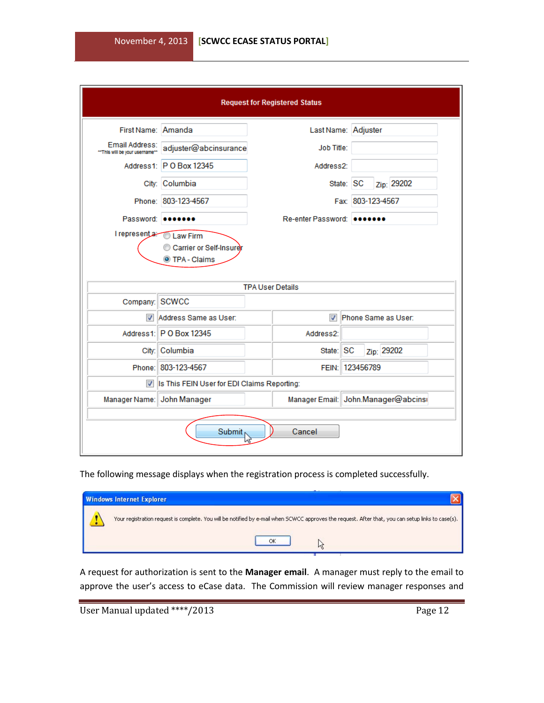| <b>Request for Registered Status</b> |                                             |  |                                     |                     |  |                   |            |  |
|--------------------------------------|---------------------------------------------|--|-------------------------------------|---------------------|--|-------------------|------------|--|
| First Name: Amanda                   |                                             |  | Last Name: Adjuster                 |                     |  |                   |            |  |
| "This will be your username"         | Email Address:<br>adjuster@abcinsurance     |  | <b>Job Title:</b>                   |                     |  |                   |            |  |
|                                      | Address1: P O Box 12345                     |  | Address2:                           |                     |  |                   |            |  |
|                                      | City: Columbia                              |  |                                     | State: SC           |  |                   | Zip: 29202 |  |
|                                      | Phone: 803-123-4567                         |  |                                     |                     |  | Fax: 803-123-4567 |            |  |
|                                      | Password: 0000000                           |  | Re-enter Password: 0000000          |                     |  |                   |            |  |
|                                      | Carrier or Self-Insurer<br>TPA - Claims     |  |                                     |                     |  |                   |            |  |
|                                      |                                             |  | <b>TPA User Details</b>             |                     |  |                   |            |  |
| Company: SCWCC                       |                                             |  |                                     |                     |  |                   |            |  |
|                                      | Address Same as User:                       |  | $\overline{\mathcal{J}}$            | Phone Same as User: |  |                   |            |  |
|                                      | Address1: P O Box 12345                     |  | Address2:                           |                     |  |                   |            |  |
|                                      | City: Columbia                              |  | State:                              | <b>SC</b>           |  | Zip: 29202        |            |  |
|                                      | Phone: 803-123-4567                         |  | FEIN: 123456789                     |                     |  |                   |            |  |
|                                      | Is This FEIN User for EDI Claims Reporting: |  |                                     |                     |  |                   |            |  |
|                                      | Manager Name: John Manager                  |  | Manager Email: John.Manager@abcinsr |                     |  |                   |            |  |
| Cancel<br><b>Submit</b>              |                                             |  |                                     |                     |  |                   |            |  |

The following message displays when the registration process is completed successfully.

| <b>Windows Internet Explorer</b>                                                                                                                   |
|----------------------------------------------------------------------------------------------------------------------------------------------------|
| Your registration request is complete. You will be notified by e-mail when SCWCC approves the request. After that, you can setup links to case(s). |
|                                                                                                                                                    |

A request for authorization is sent to the **Manager email**. A manager must reply to the email to approve the user's access to eCase data. The Commission will review manager responses and

| User Manual updated ****/2013 |  | Page 12 |
|-------------------------------|--|---------|
|-------------------------------|--|---------|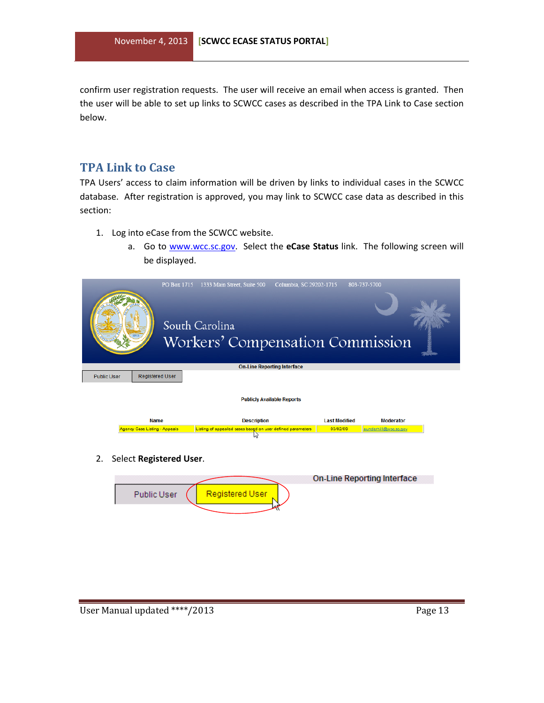confirm user registration requests. The user will receive an email when access is granted. Then the user will be able to set up links to SCWCC cases as described in the TPA Link to Case section below.

#### <span id="page-12-0"></span>**TPA Link to Case**

TPA Users' access to claim information will be driven by links to individual cases in the SCWCC database. After registration is approved, you may link to SCWCC case data as described in this section:

- 1. Log into eCase from the SCWCC website.
	- a. Go to [www.wcc.sc.gov.](http://www.wcc.sc.gov/) Select the **eCase Status** link. The following screen will be displayed.

|                                                     | PO Box 1715 | 1333 Main Street, Suite 500                                                      | Columbia, SC 29202-1715            | 803-737-5700                              |  |
|-----------------------------------------------------|-------------|----------------------------------------------------------------------------------|------------------------------------|-------------------------------------------|--|
|                                                     |             | South Carolina<br>Workers' Compensation Commission                               |                                    |                                           |  |
|                                                     |             |                                                                                  | <b>On-Line Reporting Interface</b> |                                           |  |
| <b>Registered User</b><br><b>Public User</b>        |             |                                                                                  |                                    |                                           |  |
|                                                     |             |                                                                                  |                                    |                                           |  |
|                                                     |             |                                                                                  | <b>Publicly Available Reports</b>  |                                           |  |
| <b>Name</b><br><b>Agency Case Listing - Appeals</b> |             | <b>Description</b><br>Listing of appealed cases based on user defined parameters | <b>Last Modified</b><br>03/02/09   | <b>Moderator</b><br>aunderhill@wcc.sc.gov |  |
|                                                     |             |                                                                                  |                                    |                                           |  |

2. Select **Registered User**.

|             |                 | On-Line Reporting Interface |
|-------------|-----------------|-----------------------------|
| Public User | Registered User |                             |
|             |                 |                             |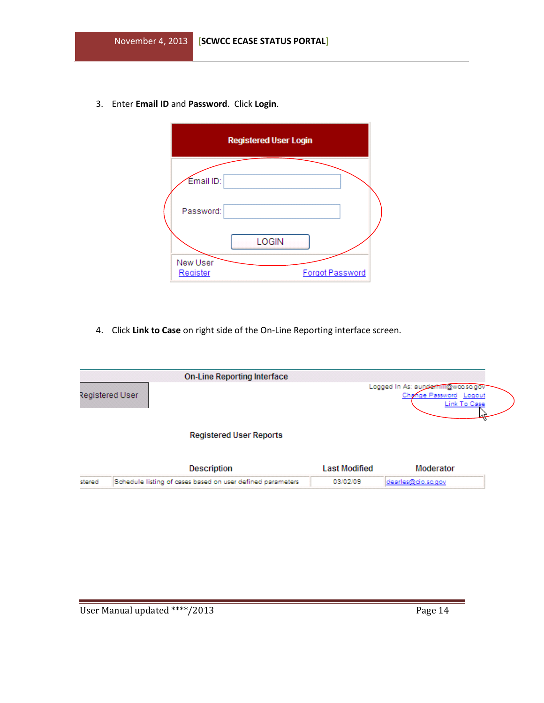3. Enter **Email ID** and **Password**. Click **Login**.

|                      | <b>Registered User Login</b> |                 |  |
|----------------------|------------------------------|-----------------|--|
| Email ID:            |                              |                 |  |
| Password:            |                              |                 |  |
|                      | LOGIN                        |                 |  |
| New User<br>Register |                              | Forgot Password |  |

4. Click **Link to Case** on right side of the On-Line Reporting interface screen.

|        | <b>On-Line Reporting Interface</b>                         |                      |                                                                               |  |
|--------|------------------------------------------------------------|----------------------|-------------------------------------------------------------------------------|--|
|        | Registered User                                            |                      | Logged In As: aunderhill@wcc.sc.gov<br>Change Password Logout<br>Link To Case |  |
|        | <b>Registered User Reports</b>                             |                      |                                                                               |  |
|        | Description                                                | <b>Last Modified</b> | Moderator                                                                     |  |
| stered | Schedule listing of cases based on user defined parameters | 03/02/09             | dearles@cio.sc.gov                                                            |  |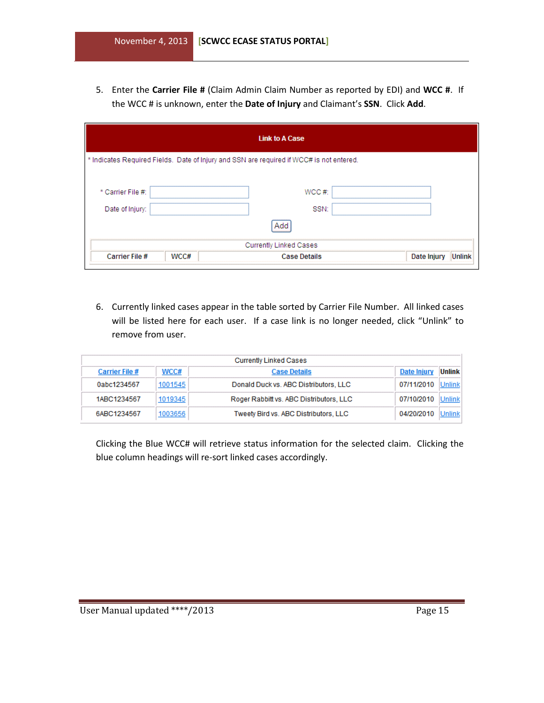5. Enter the **Carrier File #** (Claim Admin Claim Number as reported by EDI) and **WCC #**. If the WCC # is unknown, enter the **Date of Injury** and Claimant's **SSN**. Click **Add**.

| <b>Link to A Case</b>                                                                    |      |                        |                              |  |  |
|------------------------------------------------------------------------------------------|------|------------------------|------------------------------|--|--|
| * Indicates Required Fields. Date of Injury and SSN are required if WCC# is not entered. |      |                        |                              |  |  |
| * Carrier File #:<br>Date of Injury:                                                     |      | WCC#<br>SSN:           |                              |  |  |
|                                                                                          |      | Add                    |                              |  |  |
|                                                                                          |      | Currently Linked Cases |                              |  |  |
| Carrier File #                                                                           | WCC# | <b>Case Details</b>    | <b>Unlink</b><br>Date Injury |  |  |

6. Currently linked cases appear in the table sorted by Carrier File Number. All linked cases will be listed here for each user. If a case link is no longer needed, click "Unlink" to remove from user.

|                |         | <b>Currently Linked Cases</b>           |             |               |
|----------------|---------|-----------------------------------------|-------------|---------------|
| Carrier File # | WCC#    | <b>Case Details</b>                     | Date Injury | <b>Unlink</b> |
| 0abc1234567    | 1001545 | Donald Duck vs. ABC Distributors, LLC   | 07/11/2010  | Unlink        |
| 1ABC1234567    | 1019345 | Roger Rabbitt vs. ABC Distributors, LLC | 07/10/2010  | Unlink        |
| 6ABC1234567    | 1003656 | Tweety Bird vs. ABC Distributors, LLC   | 04/20/2010  | Unlink        |

Clicking the Blue WCC# will retrieve status information for the selected claim. Clicking the blue column headings will re-sort linked cases accordingly.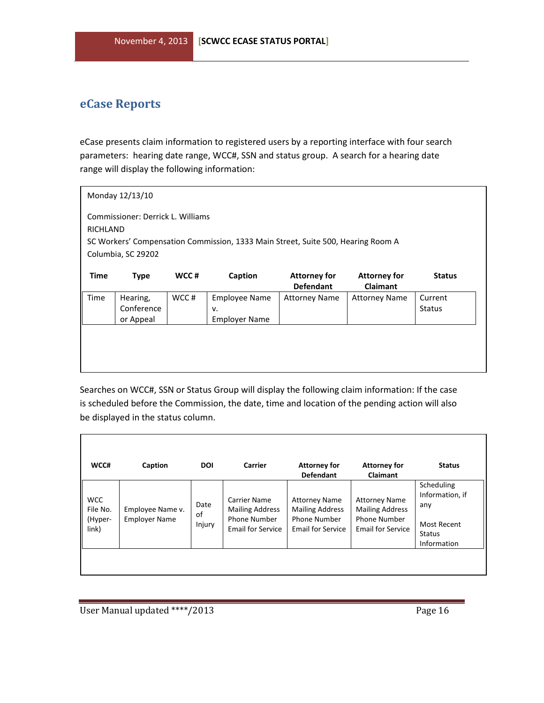## <span id="page-15-0"></span>**eCase Reports**

eCase presents claim information to registered users by a reporting interface with four search parameters: hearing date range, WCC#, SSN and status group. A search for a hearing date range will display the following information:

| Monday 12/13/10                                                                                                                                         |                                     |       |                                                    |                                         |                                        |                          |
|---------------------------------------------------------------------------------------------------------------------------------------------------------|-------------------------------------|-------|----------------------------------------------------|-----------------------------------------|----------------------------------------|--------------------------|
| Commissioner: Derrick L. Williams<br>RICHLAND<br>SC Workers' Compensation Commission, 1333 Main Street, Suite 500, Hearing Room A<br>Columbia, SC 29202 |                                     |       |                                                    |                                         |                                        |                          |
| <b>Time</b>                                                                                                                                             | <b>Type</b>                         | WCC#  | Caption                                            | <b>Attorney for</b><br><b>Defendant</b> | <b>Attorney for</b><br><b>Claimant</b> | <b>Status</b>            |
| Time                                                                                                                                                    | Hearing,<br>Conference<br>or Appeal | WCC # | <b>Employee Name</b><br>v.<br><b>Employer Name</b> | <b>Attorney Name</b>                    | <b>Attorney Name</b>                   | Current<br><b>Status</b> |
|                                                                                                                                                         |                                     |       |                                                    |                                         |                                        |                          |
|                                                                                                                                                         |                                     |       |                                                    |                                         |                                        |                          |

Searches on WCC#, SSN or Status Group will display the following claim information: If the case is scheduled before the Commission, the date, time and location of the pending action will also be displayed in the status column.

| WCC#                                       | Caption                                  | <b>DOI</b>           | <b>Carrier</b>                                                                            | <b>Attorney for</b><br><b>Defendant</b>                                                           | <b>Attorney for</b><br>Claimant                                                                   | <b>Status</b>                                                                              |
|--------------------------------------------|------------------------------------------|----------------------|-------------------------------------------------------------------------------------------|---------------------------------------------------------------------------------------------------|---------------------------------------------------------------------------------------------------|--------------------------------------------------------------------------------------------|
| <b>WCC</b><br>File No.<br>(Hyper-<br>link) | Employee Name v.<br><b>Employer Name</b> | Date<br>οf<br>Injury | Carrier Name<br><b>Mailing Address</b><br><b>Phone Number</b><br><b>Email for Service</b> | <b>Attorney Name</b><br><b>Mailing Address</b><br><b>Phone Number</b><br><b>Email for Service</b> | <b>Attorney Name</b><br><b>Mailing Address</b><br><b>Phone Number</b><br><b>Email for Service</b> | Scheduling<br>Information, if<br>any<br><b>Most Recent</b><br><b>Status</b><br>Information |
|                                            |                                          |                      |                                                                                           |                                                                                                   |                                                                                                   |                                                                                            |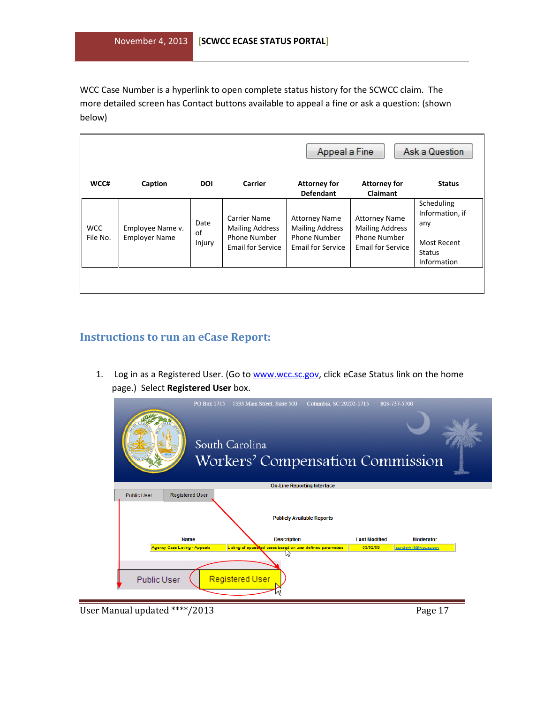WCC Case Number is a hyperlink to open complete status history for the SCWCC claim. The more detailed screen has Contact buttons available to appeal a fine or ask a question: (shown below)

|                        |                                          |                      |                                                                                           | Appeal a Fine                                                                              |                                                                                                   | Ask a Question                                                                      |
|------------------------|------------------------------------------|----------------------|-------------------------------------------------------------------------------------------|--------------------------------------------------------------------------------------------|---------------------------------------------------------------------------------------------------|-------------------------------------------------------------------------------------|
| WCC#                   | Caption                                  | <b>DOI</b>           | Carrier                                                                                   | <b>Attorney for</b><br><b>Defendant</b>                                                    | <b>Attorney for</b><br>Claimant                                                                   | <b>Status</b>                                                                       |
| <b>WCC</b><br>File No. | Employee Name v.<br><b>Employer Name</b> | Date<br>of<br>Injury | <b>Carrier Name</b><br><b>Mailing Address</b><br>Phone Number<br><b>Email for Service</b> | <b>Attorney Name</b><br><b>Mailing Address</b><br>Phone Number<br><b>Email for Service</b> | <b>Attorney Name</b><br><b>Mailing Address</b><br><b>Phone Number</b><br><b>Email for Service</b> | Scheduling<br>Information, if<br>any<br><b>Most Recent</b><br>Status<br>Information |
|                        |                                          |                      |                                                                                           |                                                                                            |                                                                                                   |                                                                                     |

#### <span id="page-16-0"></span>**Instructions to run an eCase Report:**

1. Log in as a Registered User. (Go to [www.wcc.sc.gov,](http://www.wcc.sc.gov/) click eCase Status link on the home page.) Select **Registered User** box.



User Manual updated \*\*\*\*/2013 Page 17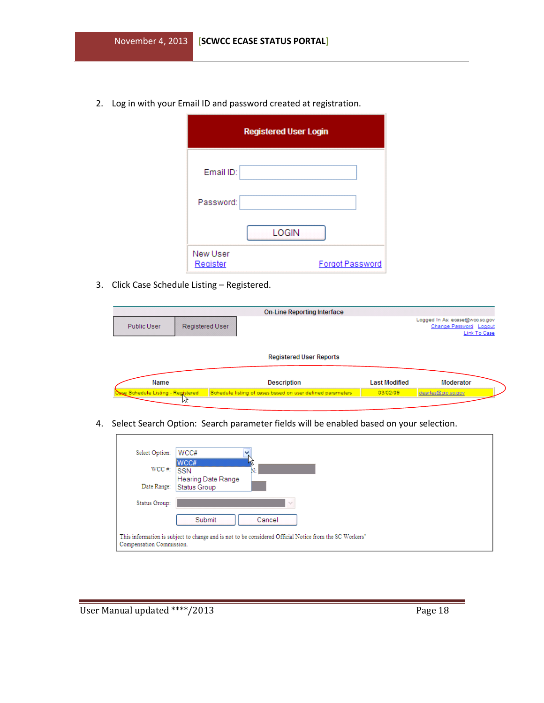2. Log in with your Email ID and password created at registration.

|                      | <b>Registered User Login</b> |                 |
|----------------------|------------------------------|-----------------|
| Email ID:            |                              |                 |
| Password:            |                              |                 |
|                      | <b>LOGIN</b>                 |                 |
| New User<br>Register |                              | Forgot Password |

3. Click Case Schedule Listing – Registered.

|                                            |                 | <b>On-Line Reporting Interface</b>                                               |                                  |                                                                          |
|--------------------------------------------|-----------------|----------------------------------------------------------------------------------|----------------------------------|--------------------------------------------------------------------------|
| Public User                                | Registered User |                                                                                  |                                  | Logged In As: ecase@wcc.sc.gov<br>Change Password Logout<br>Link To Case |
|                                            |                 | <b>Registered User Reports</b>                                                   |                                  |                                                                          |
| Name<br>Osse Schedule Listing - Registered |                 | <b>Description</b><br>Schedule listing of cases based on user defined parameters | <b>Last Modified</b><br>03/02/09 | Moderator<br>dearles@cio.so.gov                                          |
|                                            | и۲              |                                                                                  |                                  |                                                                          |

4. Select Search Option: Search parameter fields will be enabled based on your selection.

| Select Option:           | WCC#                                                                                                   |
|--------------------------|--------------------------------------------------------------------------------------------------------|
| $WCC \#$ :               | WCC#<br><b>SSN</b><br>N.<br>Hearing Date Range                                                         |
| Date Range:              | Status Group                                                                                           |
| Status Group:            | $\sim$                                                                                                 |
|                          | Submit<br>Cancel                                                                                       |
| Compensation Commission. | This information is subject to change and is not to be considered Official Notice from the SC Workers' |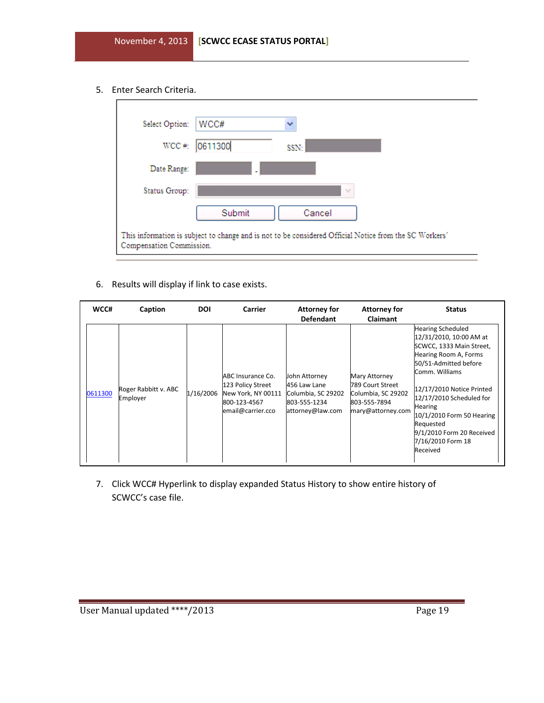5. Enter Search Criteria.

| Select Option:           | WCC#<br>₩                                                                                              |
|--------------------------|--------------------------------------------------------------------------------------------------------|
| $WCC \#$ :               | 0611300<br>SSN:                                                                                        |
| Date Range:              |                                                                                                        |
| Status Group:            | v                                                                                                      |
|                          | Submit<br>Cancel                                                                                       |
| Compensation Commission. | This information is subject to change and is not to be considered Official Notice from the SC Workers' |

6. Results will display if link to case exists.

| WCC#    | Caption                          | <b>DOI</b> | Carrier                                                                                           | <b>Attorney for</b><br><b>Defendant</b>                                                 | <b>Attorney for</b><br>Claimant                                                              | <b>Status</b>                                                                                                                                                                                                                                                                                                                          |
|---------|----------------------------------|------------|---------------------------------------------------------------------------------------------------|-----------------------------------------------------------------------------------------|----------------------------------------------------------------------------------------------|----------------------------------------------------------------------------------------------------------------------------------------------------------------------------------------------------------------------------------------------------------------------------------------------------------------------------------------|
| 0611300 | Roger Rabbitt v. ABC<br>Employer | 1/16/2006  | ABC Insurance Co.<br>123 Policy Street<br>New York, NY 00111<br>800-123-4567<br>email@carrier.cco | John Attorney<br>456 Law Lane<br>Columbia, SC 29202<br>803-555-1234<br>attorney@law.com | Mary Attorney<br>789 Court Street<br>Columbia, SC 29202<br>803-555-7894<br>mary@attorney.com | <b>Hearing Scheduled</b><br>12/31/2010, 10:00 AM at<br>SCWCC, 1333 Main Street,<br>Hearing Room A, Forms<br>50/51-Admitted before<br>Comm. Williams<br>12/17/2010 Notice Printed<br>12/17/2010 Scheduled for<br><b>Hearing</b><br>10/1/2010 Form 50 Hearing<br>Requested<br>9/1/2010 Form 20 Received<br>7/16/2010 Form 18<br>Received |

7. Click WCC# Hyperlink to display expanded Status History to show entire history of SCWCC's case file.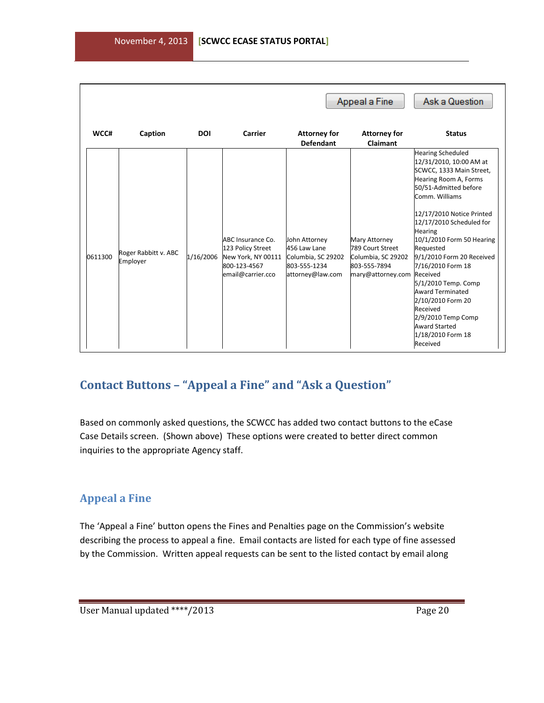|         |                                  |            |                                                                                                   |                                                                                         | Appeal a Fine                                                                                       | Ask a Question                                                                                                                                                                                                                                                                                                                                                                                                                                                                                           |
|---------|----------------------------------|------------|---------------------------------------------------------------------------------------------------|-----------------------------------------------------------------------------------------|-----------------------------------------------------------------------------------------------------|----------------------------------------------------------------------------------------------------------------------------------------------------------------------------------------------------------------------------------------------------------------------------------------------------------------------------------------------------------------------------------------------------------------------------------------------------------------------------------------------------------|
| WCC#    | Caption                          | <b>DOI</b> | Carrier                                                                                           | <b>Attorney for</b><br><b>Defendant</b>                                                 | <b>Attorney for</b><br><b>Claimant</b>                                                              | <b>Status</b>                                                                                                                                                                                                                                                                                                                                                                                                                                                                                            |
| 0611300 | Roger Rabbitt v. ABC<br>Employer | 1/16/2006  | ABC Insurance Co.<br>123 Policy Street<br>New York, NY 00111<br>800-123-4567<br>email@carrier.cco | John Attorney<br>456 Law Lane<br>Columbia, SC 29202<br>803-555-1234<br>attorney@law.com | <b>Mary Attorney</b><br>789 Court Street<br>Columbia, SC 29202<br>803-555-7894<br>mary@attorney.com | <b>Hearing Scheduled</b><br>12/31/2010, 10:00 AM at<br>SCWCC, 1333 Main Street,<br>Hearing Room A, Forms<br>50/51-Admitted before<br>Comm. Williams<br>12/17/2010 Notice Printed<br>12/17/2010 Scheduled for<br><b>Hearing</b><br>10/1/2010 Form 50 Hearing<br>Requested<br>9/1/2010 Form 20 Received<br>7/16/2010 Form 18<br>Received<br>5/1/2010 Temp. Comp<br><b>Award Terminated</b><br>2/10/2010 Form 20<br>Received<br>2/9/2010 Temp Comp<br><b>Award Started</b><br>1/18/2010 Form 18<br>Received |

## <span id="page-19-0"></span>**Contact Buttons – "Appeal a Fine" and "Ask a Question"**

Based on commonly asked questions, the SCWCC has added two contact buttons to the eCase Case Details screen. (Shown above) These options were created to better direct common inquiries to the appropriate Agency staff.

#### <span id="page-19-1"></span>**Appeal a Fine**

The 'Appeal a Fine' button opens the Fines and Penalties page on the Commission's website describing the process to appeal a fine. Email contacts are listed for each type of fine assessed by the Commission. Written appeal requests can be sent to the listed contact by email along

j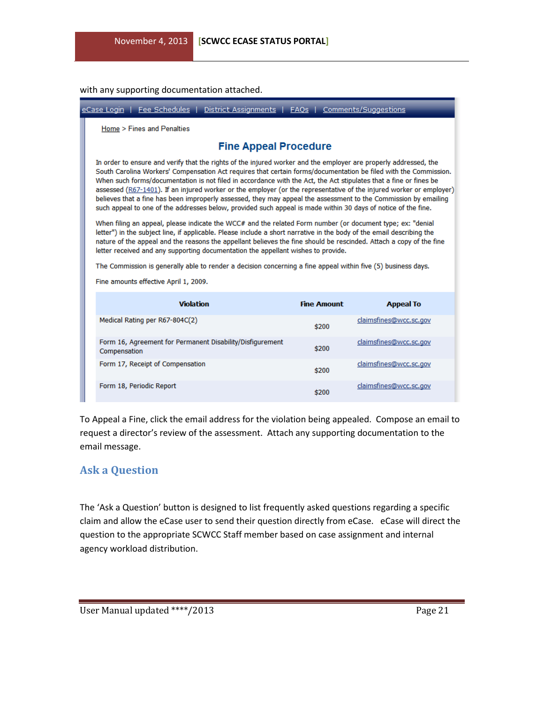with any supporting documentation attached.

| eCase Login   Fee Schedules  <br>District Assignments   FAQs   Comments/Suggestions                                                                                                                                                                                                                                                                                                                                                                                                                                                                                                                                                                                                                                  |                    |                        |  |  |  |  |
|----------------------------------------------------------------------------------------------------------------------------------------------------------------------------------------------------------------------------------------------------------------------------------------------------------------------------------------------------------------------------------------------------------------------------------------------------------------------------------------------------------------------------------------------------------------------------------------------------------------------------------------------------------------------------------------------------------------------|--------------------|------------------------|--|--|--|--|
| Home > Fines and Penalties                                                                                                                                                                                                                                                                                                                                                                                                                                                                                                                                                                                                                                                                                           |                    |                        |  |  |  |  |
| <b>Fine Appeal Procedure</b>                                                                                                                                                                                                                                                                                                                                                                                                                                                                                                                                                                                                                                                                                         |                    |                        |  |  |  |  |
| In order to ensure and verify that the rights of the injured worker and the employer are properly addressed, the<br>South Carolina Workers' Compensation Act requires that certain forms/documentation be filed with the Commission.<br>When such forms/documentation is not filed in accordance with the Act, the Act stipulates that a fine or fines be<br>assessed (R67-1401). If an injured worker or the employer (or the representative of the injured worker or employer)<br>believes that a fine has been improperly assessed, they may appeal the assessment to the Commission by emailing<br>such appeal to one of the addresses below, provided such appeal is made within 30 days of notice of the fine. |                    |                        |  |  |  |  |
| When filing an appeal, please indicate the WCC# and the related Form number (or document type; ex: "denial<br>letter") in the subject line, if applicable. Please include a short narrative in the body of the email describing the<br>nature of the appeal and the reasons the appellant believes the fine should be rescinded. Attach a copy of the fine<br>letter received and any supporting documentation the appellant wishes to provide.                                                                                                                                                                                                                                                                      |                    |                        |  |  |  |  |
| The Commission is generally able to render a decision concerning a fine appeal within five (5) business days.                                                                                                                                                                                                                                                                                                                                                                                                                                                                                                                                                                                                        |                    |                        |  |  |  |  |
| Fine amounts effective April 1, 2009.                                                                                                                                                                                                                                                                                                                                                                                                                                                                                                                                                                                                                                                                                |                    |                        |  |  |  |  |
| <b>Violation</b>                                                                                                                                                                                                                                                                                                                                                                                                                                                                                                                                                                                                                                                                                                     |                    |                        |  |  |  |  |
|                                                                                                                                                                                                                                                                                                                                                                                                                                                                                                                                                                                                                                                                                                                      | <b>Fine Amount</b> | <b>Appeal To</b>       |  |  |  |  |
| Medical Rating per R67-804C(2)                                                                                                                                                                                                                                                                                                                                                                                                                                                                                                                                                                                                                                                                                       | \$200              | claimsfines@wcc.sc.gov |  |  |  |  |
| Form 16, Agreement for Permanent Disability/Disfigurement<br>Compensation                                                                                                                                                                                                                                                                                                                                                                                                                                                                                                                                                                                                                                            | \$200              | claimsfines@wcc.sc.gov |  |  |  |  |
| Form 17, Receipt of Compensation                                                                                                                                                                                                                                                                                                                                                                                                                                                                                                                                                                                                                                                                                     | \$200              | claimsfines@wcc.sc.gov |  |  |  |  |
| Form 18, Periodic Report                                                                                                                                                                                                                                                                                                                                                                                                                                                                                                                                                                                                                                                                                             | \$200              | claimsfines@wcc.sc.gov |  |  |  |  |

To Appeal a Fine, click the email address for the violation being appealed. Compose an email to request a director's review of the assessment. Attach any supporting documentation to the email message.

#### <span id="page-20-0"></span>**Ask a Question**

The 'Ask a Question' button is designed to list frequently asked questions regarding a specific claim and allow the eCase user to send their question directly from eCase. eCase will direct the question to the appropriate SCWCC Staff member based on case assignment and internal agency workload distribution.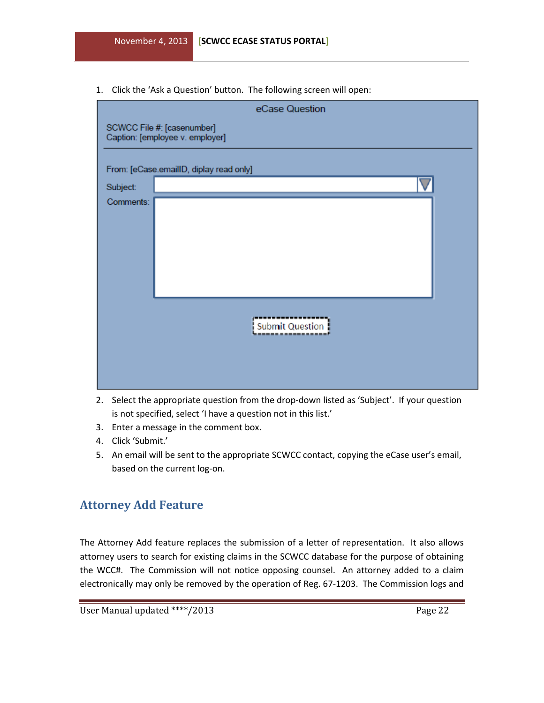1. Click the 'Ask a Question' button. The following screen will open:

| eCase Question                          |                                                               |  |  |  |  |  |
|-----------------------------------------|---------------------------------------------------------------|--|--|--|--|--|
|                                         | SCWCC File #: [casenumber]<br>Caption: [employee v. employer] |  |  |  |  |  |
| From: [eCase.emailID, diplay read only] |                                                               |  |  |  |  |  |
| Subject:                                |                                                               |  |  |  |  |  |
| Comments:                               |                                                               |  |  |  |  |  |
|                                         | Submit Question                                               |  |  |  |  |  |

- 2. Select the appropriate question from the drop-down listed as 'Subject'. If your question is not specified, select 'I have a question not in this list.'
- 3. Enter a message in the comment box.
- 4. Click 'Submit.'
- 5. An email will be sent to the appropriate SCWCC contact, copying the eCase user's email, based on the current log-on.

#### <span id="page-21-0"></span>**Attorney Add Feature**

The Attorney Add feature replaces the submission of a letter of representation. It also allows attorney users to search for existing claims in the SCWCC database for the purpose of obtaining the WCC#. The Commission will not notice opposing counsel. An attorney added to a claim electronically may only be removed by the operation of Reg. 67-1203. The Commission logs and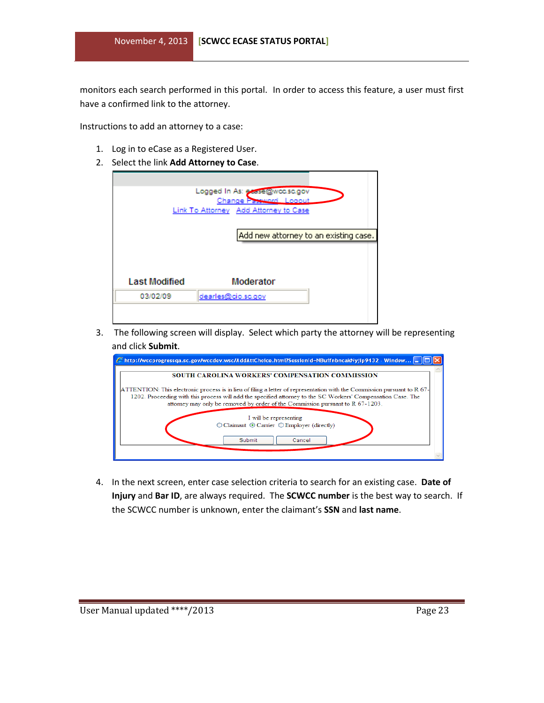monitors each search performed in this portal. In order to access this feature, a user must first have a confirmed link to the attorney.

Instructions to add an attorney to a case:

- 1. Log in to eCase as a Registered User.
- 2. Select the link **Add Attorney to Case**.

|                      | Logged In As: existe@wcc.sc.gov<br>Change Password Logout<br>Link To Attorney Add Attorney to Case |                                       |
|----------------------|----------------------------------------------------------------------------------------------------|---------------------------------------|
|                      |                                                                                                    | Add new attorney to an existing case. |
|                      | Moderator                                                                                          |                                       |
| <b>Last Modified</b> |                                                                                                    |                                       |

3. The following screen will display. Select which party the attorney will be representing and click **Submit**.



4. In the next screen, enter case selection criteria to search for an existing case. **Date of Injury** and **Bar ID**, are always required. The **SCWCC number** is the best way to search. If the SCWCC number is unknown, enter the claimant's **SSN** and **last name**.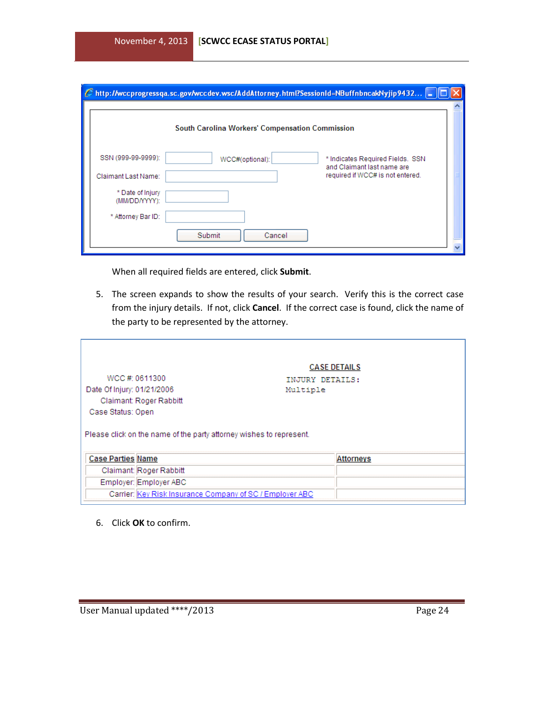|                                   | http://wccprogressqa.sc.gov/wccdev.wsc/AddAttorney.html?SessionId=NBuffnbncakNyjip9432  = |                                                                |  |
|-----------------------------------|-------------------------------------------------------------------------------------------|----------------------------------------------------------------|--|
|                                   | South Carolina Workers' Compensation Commission                                           |                                                                |  |
| SSN (999-99-9999):                | WCC#(optional):                                                                           | * Indicates Required Fields. SSN<br>and Claimant last name are |  |
| Claimant Last Name:               |                                                                                           | required if WCC# is not entered.                               |  |
| * Date of Injury<br>(MM/DD/YYYY): |                                                                                           |                                                                |  |
| * Attorney Bar ID:                |                                                                                           |                                                                |  |
|                                   | Submit<br>Cancel                                                                          |                                                                |  |

When all required fields are entered, click **Submit**.

5. The screen expands to show the results of your search. Verify this is the correct case from the injury details. If not, click **Cancel**. If the correct case is found, click the name of the party to be represented by the attorney.

| Date Of Injury: 01/21/2006 | WCC #: 0611300                                                      | INJURY DETAILS:<br>Multiple | <b>CASE DETAILS</b> |  |
|----------------------------|---------------------------------------------------------------------|-----------------------------|---------------------|--|
|                            | Claimant: Roger Rabbitt                                             |                             |                     |  |
| Case Status: Open          |                                                                     |                             |                     |  |
|                            | Please click on the name of the party attorney wishes to represent. |                             |                     |  |
|                            |                                                                     |                             |                     |  |
| <b>Case Parties Name</b>   |                                                                     |                             | <b>Attorneys</b>    |  |
|                            | Claimant: Roger Rabbitt                                             |                             |                     |  |
|                            | Employer: Employer ABC                                              |                             |                     |  |
|                            | Carrier: Key Risk Insurance Company of SC / Employer ABC            |                             |                     |  |

6. Click **OK** to confirm.